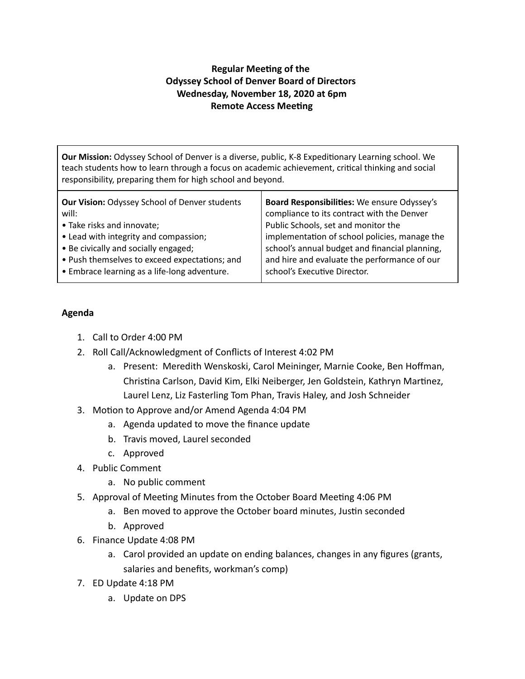## **Regular Meeting of the Odyssey School of Denver Board of Directors Wednesday, November 18, 2020 at 6pm Remote Access Meeting**

**Our Mission:** Odyssey School of Denver is a diverse, public, K-8 Expeditionary Learning school. We teach students how to learn through a focus on academic achievement, critical thinking and social responsibility, preparing them for high school and beyond.

| Our Vision: Odyssey School of Denver students | Board Responsibilities: We ensure Odyssey's    |
|-----------------------------------------------|------------------------------------------------|
| will:                                         | compliance to its contract with the Denver     |
| • Take risks and innovate;                    | Public Schools, set and monitor the            |
| • Lead with integrity and compassion;         | implementation of school policies, manage the  |
| • Be civically and socially engaged;          | school's annual budget and financial planning, |
| • Push themselves to exceed expectations; and | and hire and evaluate the performance of our   |
| • Embrace learning as a life-long adventure.  | school's Executive Director.                   |

## **Agenda**

- 1. Call to Order 4:00 PM
- 2. Roll Call/Acknowledgment of Conflicts of Interest 4:02 PM
	- a. Present: Meredith Wenskoski, Carol Meininger, Marnie Cooke, Ben Hoffman, Christina Carlson, David Kim, Elki Neiberger, Jen Goldstein, Kathryn Martinez, Laurel Lenz, Liz Fasterling Tom Phan, Travis Haley, and Josh Schneider
- 3. Motion to Approve and/or Amend Agenda 4:04 PM
	- a. Agenda updated to move the finance update
	- b. Travis moved, Laurel seconded
	- c. Approved
- 4. Public Comment
	- a. No public comment
- 5. Approval of Meeting Minutes from the October Board Meeting 4:06 PM
	- a. Ben moved to approve the October board minutes, Justin seconded
	- b. Approved
- 6. Finance Update 4:08 PM
	- a. Carol provided an update on ending balances, changes in any figures (grants, salaries and benefits, workman's comp)
- 7. ED Update 4:18 PM
	- a. Update on DPS